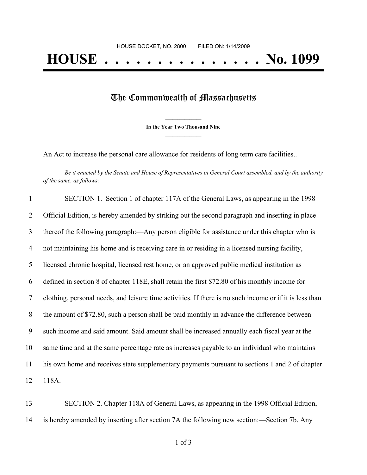## The Commonwealth of Massachusetts

**\_\_\_\_\_\_\_\_\_\_\_\_\_\_\_ In the Year Two Thousand Nine \_\_\_\_\_\_\_\_\_\_\_\_\_\_\_**

An Act to increase the personal care allowance for residents of long term care facilities..

Be it enacted by the Senate and House of Representatives in General Court assembled, and by the authority *of the same, as follows:*

|                | SECTION 1. Section 1 of chapter 117A of the General Laws, as appearing in the 1998                      |
|----------------|---------------------------------------------------------------------------------------------------------|
| 2              | Official Edition, is hereby amended by striking out the second paragraph and inserting in place         |
| 3              | thereof the following paragraph:—Any person eligible for assistance under this chapter who is           |
| $\overline{4}$ | not maintaining his home and is receiving care in or residing in a licensed nursing facility,           |
| 5              | licensed chronic hospital, licensed rest home, or an approved public medical institution as             |
| 6              | defined in section 8 of chapter 118E, shall retain the first \$72.80 of his monthly income for          |
| 7              | clothing, personal needs, and leisure time activities. If there is no such income or if it is less than |
| 8              | the amount of \$72.80, such a person shall be paid monthly in advance the difference between            |
| 9              | such income and said amount. Said amount shall be increased annually each fiscal year at the            |
| 10             | same time and at the same percentage rate as increases payable to an individual who maintains           |
| 11             | his own home and receives state supplementary payments pursuant to sections 1 and 2 of chapter          |
| 12             | 118A.                                                                                                   |

13 SECTION 2. Chapter 118A of General Laws, as appearing in the 1998 Official Edition, 14 is hereby amended by inserting after section 7A the following new section:—Section 7b. Any

1 of 3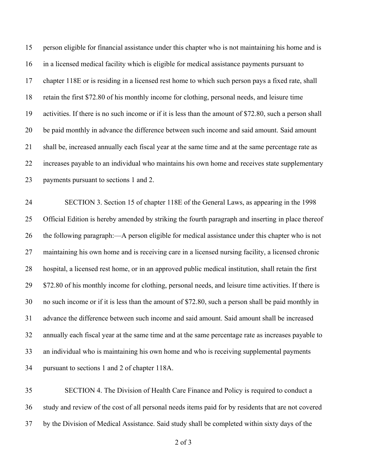person eligible for financial assistance under this chapter who is not maintaining his home and is in a licensed medical facility which is eligible for medical assistance payments pursuant to chapter 118E or is residing in a licensed rest home to which such person pays a fixed rate, shall retain the first \$72.80 of his monthly income for clothing, personal needs, and leisure time activities. If there is no such income or if it is less than the amount of \$72.80, such a person shall be paid monthly in advance the difference between such income and said amount. Said amount shall be, increased annually each fiscal year at the same time and at the same percentage rate as increases payable to an individual who maintains his own home and receives state supplementary payments pursuant to sections 1 and 2.

 SECTION 3. Section 15 of chapter 118E of the General Laws, as appearing in the 1998 Official Edition is hereby amended by striking the fourth paragraph and inserting in place thereof the following paragraph:—A person eligible for medical assistance under this chapter who is not maintaining his own home and is receiving care in a licensed nursing facility, a licensed chronic hospital, a licensed rest home, or in an approved public medical institution, shall retain the first \$72.80 of his monthly income for clothing, personal needs, and leisure time activities. If there is no such income or if it is less than the amount of \$72.80, such a person shall be paid monthly in advance the difference between such income and said amount. Said amount shall be increased annually each fiscal year at the same time and at the same percentage rate as increases payable to an individual who is maintaining his own home and who is receiving supplemental payments pursuant to sections 1 and 2 of chapter 118A.

 SECTION 4. The Division of Health Care Finance and Policy is required to conduct a study and review of the cost of all personal needs items paid for by residents that are not covered by the Division of Medical Assistance. Said study shall be completed within sixty days of the

of 3